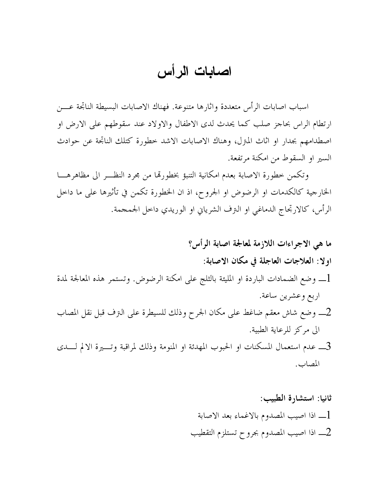## اصابات الرأس

اسباب اصابات الرأس متعددة واثارها متنوعة. فهناك الاصابات البسيطة الناتجة عــــن ارتطام الراس بحاجز صلب كما يحدث لدى الاطفال والاولاد عند سقوطهم على الارض او اصطدامهم بجدار او آثاث المتزل، وهناك الاصابات الاشد خطورة كتلك الناتجة عن حوادث السير او السقوط من امكنة مرتفعة.

وتكمن خطورة الاصابة بعدم امكانية التنبؤ بخطورقما من مجرد النظـــر الى مظاهرهــــا الخارجية كالكدمات او الرضوض او الجروح، اذ ان الخطورة تكمن في تأثيرها على ما داخل الرأس، كالارتجاج الدماغي او النزف الشريابي او الوريدي داخل الجمجمة.

ما هي الاجراءات اللازمة لمعالجة اصابة الرأس؟ اولا: العلاجات العاجلة في مكان الاصابة: \_ وضع الضمادات الباردة او المليئة بالثلج على امكنة الرضوض. وتستمر هذه المعالجة لمدة اربع وعشرين ساعة. 2\_ وضع شاش معقم ضاغط على مكان الجرح وذلك للسيطرة على النزف قبل نقل المصاب الى مركز للرعاية الطبية. 3ـــ عدم استعمال المسكنات او الحبوب المهدئة او المنومة وذلك لمراقبة وتــــيرة الالم لــــدى المصاب.

> ثانيا: استشارة الطبيب: [\_ اذا اصيب المصدوم بالاغماء بعد الاصابة اذا اصيب المصدوم بجروح تستلزم التقطيب  $\,2\,$